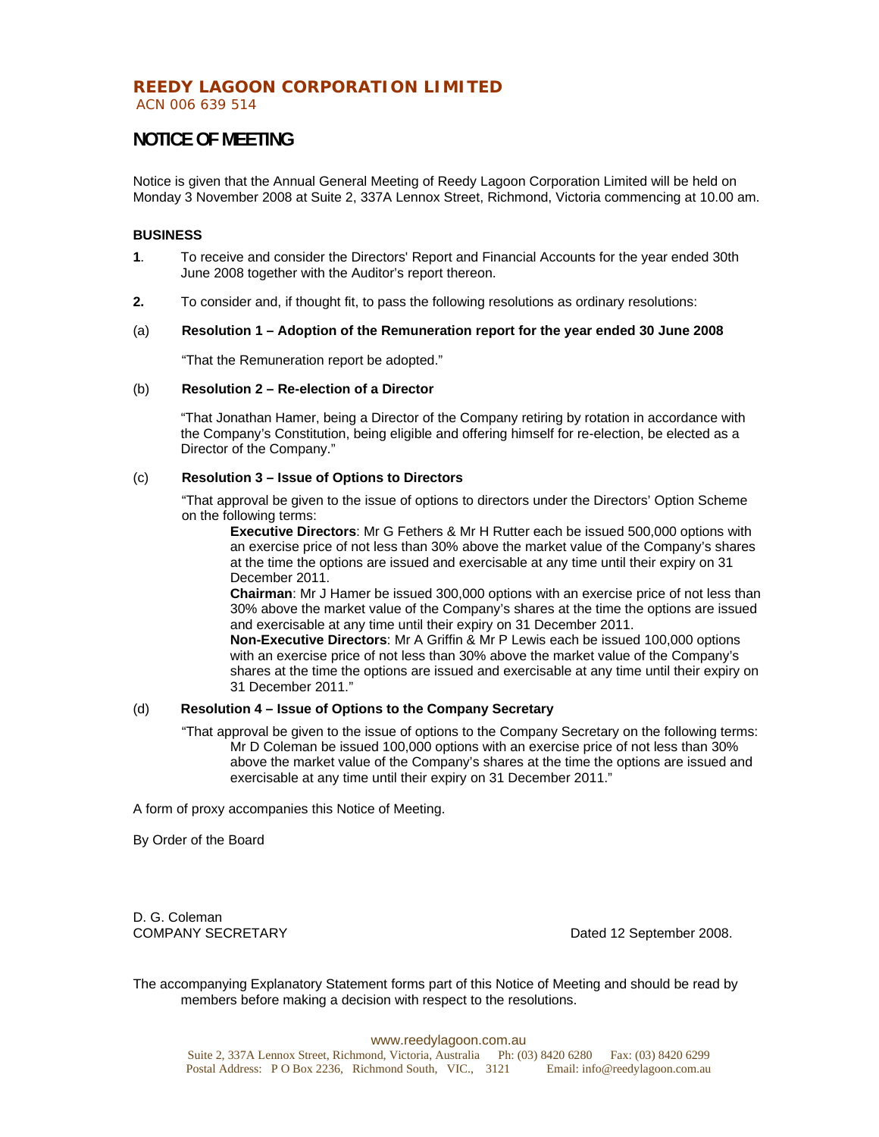# **REEDY LAGOON CORPORATION LIMITED**

ACN 006 639 514

# **NOTICE OF MEETING**

Notice is given that the Annual General Meeting of Reedy Lagoon Corporation Limited will be held on Monday 3 November 2008 at Suite 2, 337A Lennox Street, Richmond, Victoria commencing at 10.00 am.

## **BUSINESS**

- **1**. To receive and consider the Directors' Report and Financial Accounts for the year ended 30th June 2008 together with the Auditor's report thereon.
- **2.** To consider and, if thought fit, to pass the following resolutions as ordinary resolutions:

## (a) **Resolution 1 – Adoption of the Remuneration report for the year ended 30 June 2008**

"That the Remuneration report be adopted."

#### (b) **Resolution 2 – Re-election of a Director**

 "That Jonathan Hamer, being a Director of the Company retiring by rotation in accordance with the Company's Constitution, being eligible and offering himself for re-election, be elected as a Director of the Company."

## (c) **Resolution 3 – Issue of Options to Directors**

"That approval be given to the issue of options to directors under the Directors' Option Scheme on the following terms:

**Executive Directors**: Mr G Fethers & Mr H Rutter each be issued 500,000 options with an exercise price of not less than 30% above the market value of the Company's shares at the time the options are issued and exercisable at any time until their expiry on 31 December 2011.

**Chairman**: Mr J Hamer be issued 300,000 options with an exercise price of not less than 30% above the market value of the Company's shares at the time the options are issued and exercisable at any time until their expiry on 31 December 2011.

**Non-Executive Directors**: Mr A Griffin & Mr P Lewis each be issued 100,000 options with an exercise price of not less than 30% above the market value of the Company's shares at the time the options are issued and exercisable at any time until their expiry on 31 December 2011."

## (d) **Resolution 4 – Issue of Options to the Company Secretary**

"That approval be given to the issue of options to the Company Secretary on the following terms: Mr D Coleman be issued 100,000 options with an exercise price of not less than 30% above the market value of the Company's shares at the time the options are issued and exercisable at any time until their expiry on 31 December 2011."

A form of proxy accompanies this Notice of Meeting.

By Order of the Board

D. G. Coleman<br>COMPANY SECRETARY

Dated 12 September 2008.

The accompanying Explanatory Statement forms part of this Notice of Meeting and should be read by members before making a decision with respect to the resolutions.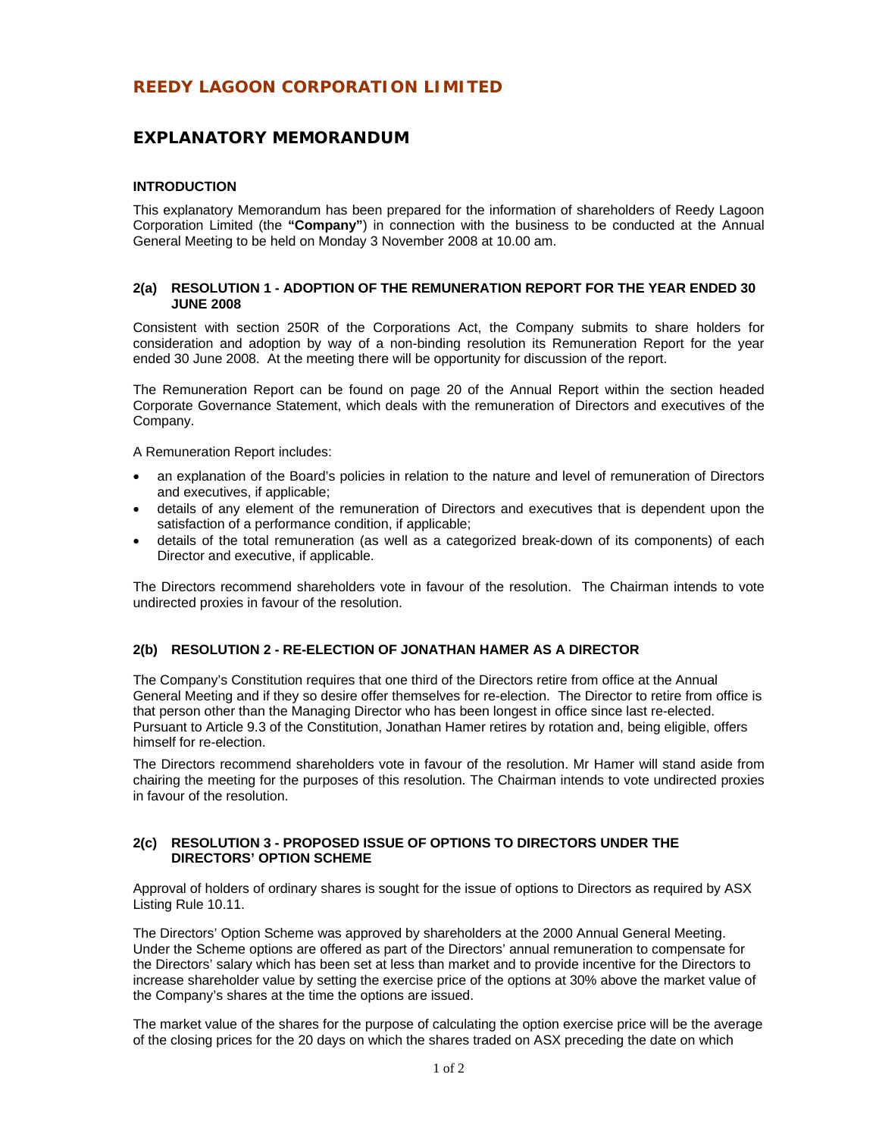# **REEDY LAGOON CORPORATION LIMITED**

## **EXPLANATORY MEMORANDUM**

## **INTRODUCTION**

This explanatory Memorandum has been prepared for the information of shareholders of Reedy Lagoon Corporation Limited (the **"Company"**) in connection with the business to be conducted at the Annual General Meeting to be held on Monday 3 November 2008 at 10.00 am.

## **2(a) RESOLUTION 1 - ADOPTION OF THE REMUNERATION REPORT FOR THE YEAR ENDED 30 JUNE 2008**

Consistent with section 250R of the Corporations Act, the Company submits to share holders for consideration and adoption by way of a non-binding resolution its Remuneration Report for the year ended 30 June 2008. At the meeting there will be opportunity for discussion of the report.

The Remuneration Report can be found on page 20 of the Annual Report within the section headed Corporate Governance Statement, which deals with the remuneration of Directors and executives of the Company.

A Remuneration Report includes:

- an explanation of the Board's policies in relation to the nature and level of remuneration of Directors and executives, if applicable;
- details of any element of the remuneration of Directors and executives that is dependent upon the satisfaction of a performance condition, if applicable;
- details of the total remuneration (as well as a categorized break-down of its components) of each Director and executive, if applicable.

The Directors recommend shareholders vote in favour of the resolution. The Chairman intends to vote undirected proxies in favour of the resolution.

## **2(b) RESOLUTION 2 - RE-ELECTION OF JONATHAN HAMER AS A DIRECTOR**

The Company's Constitution requires that one third of the Directors retire from office at the Annual General Meeting and if they so desire offer themselves for re-election. The Director to retire from office is that person other than the Managing Director who has been longest in office since last re-elected. Pursuant to Article 9.3 of the Constitution, Jonathan Hamer retires by rotation and, being eligible, offers himself for re-election.

The Directors recommend shareholders vote in favour of the resolution. Mr Hamer will stand aside from chairing the meeting for the purposes of this resolution. The Chairman intends to vote undirected proxies in favour of the resolution.

## **2(c) RESOLUTION 3 - PROPOSED ISSUE OF OPTIONS TO DIRECTORS UNDER THE DIRECTORS' OPTION SCHEME**

Approval of holders of ordinary shares is sought for the issue of options to Directors as required by ASX Listing Rule 10.11.

The Directors' Option Scheme was approved by shareholders at the 2000 Annual General Meeting. Under the Scheme options are offered as part of the Directors' annual remuneration to compensate for the Directors' salary which has been set at less than market and to provide incentive for the Directors to increase shareholder value by setting the exercise price of the options at 30% above the market value of the Company's shares at the time the options are issued.

The market value of the shares for the purpose of calculating the option exercise price will be the average of the closing prices for the 20 days on which the shares traded on ASX preceding the date on which